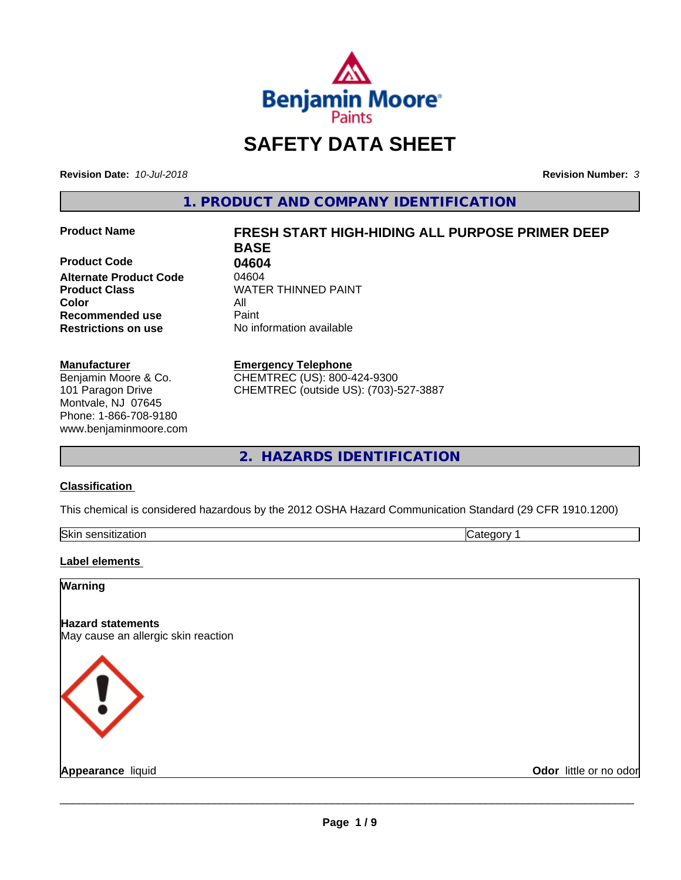

# **SAFETY DATA SHEET**

**Revision Date:** *10-Jul-2018* **Revision Number:** *3*

**1. PRODUCT AND COMPANY IDENTIFICATION**

**Product Code 61804<br>
<b>Alternate Product Code** 64604 **Alternate Product Code Product Class WATER THINNED PAINT Color** All **Recommended use** Paint **Restrictions on use** No information available

#### **Manufacturer**

Benjamin Moore & Co. 101 Paragon Drive Montvale, NJ 07645 Phone: 1-866-708-9180 www.benjaminmoore.com

# **Product Name FRESH START HIGH-HIDING ALL PURPOSE PRIMER DEEP BASE**

#### **Emergency Telephone**

CHEMTREC (US): 800-424-9300 CHEMTREC (outside US): (703)-527-3887

**2. HAZARDS IDENTIFICATION**

#### **Classification**

This chemical is considered hazardous by the 2012 OSHA Hazard Communication Standard (29 CFR 1910.1200)

| Skin<br>-----<br>`sensitization : |  |
|-----------------------------------|--|

#### **Label elements**

#### **Warning**

**Hazard statements** May cause an allergic skin reaction



**Appearance** liquid **Odor in the original of the original of the original of the original of the original of the original of the original of the original of the original of the original of the original of the original of t**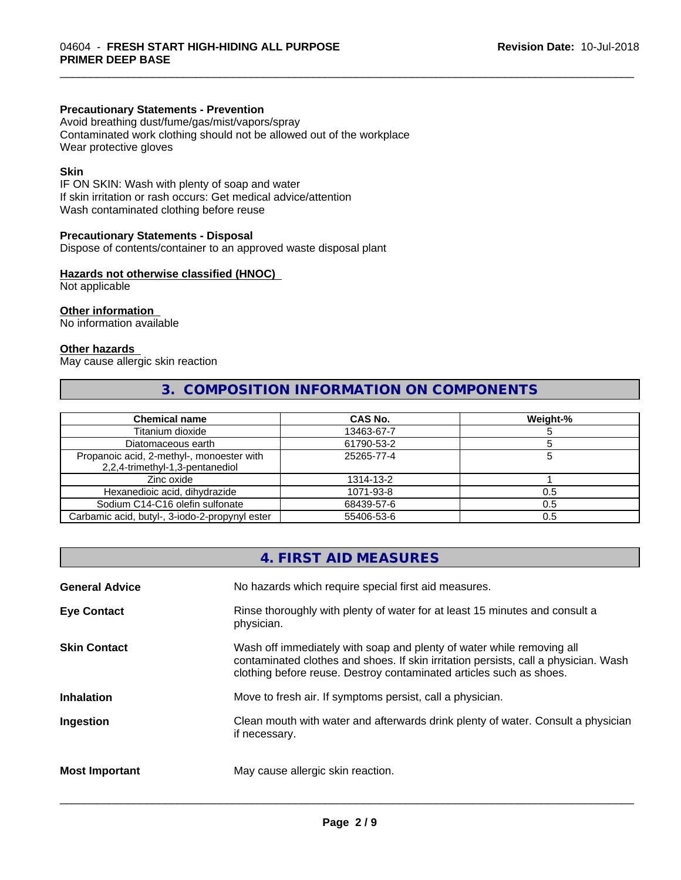#### **Precautionary Statements - Prevention**

Avoid breathing dust/fume/gas/mist/vapors/spray Contaminated work clothing should not be allowed out of the workplace Wear protective gloves

#### **Skin**

IF ON SKIN: Wash with plenty of soap and water If skin irritation or rash occurs: Get medical advice/attention Wash contaminated clothing before reuse

#### **Precautionary Statements - Disposal**

Dispose of contents/container to an approved waste disposal plant

#### **Hazards not otherwise classified (HNOC)**

Not applicable

#### **Other information**

No information available

#### **Other hazards**

May cause allergic skin reaction

# **3. COMPOSITION INFORMATION ON COMPONENTS**

\_\_\_\_\_\_\_\_\_\_\_\_\_\_\_\_\_\_\_\_\_\_\_\_\_\_\_\_\_\_\_\_\_\_\_\_\_\_\_\_\_\_\_\_\_\_\_\_\_\_\_\_\_\_\_\_\_\_\_\_\_\_\_\_\_\_\_\_\_\_\_\_\_\_\_\_\_\_\_\_\_\_\_\_\_\_\_\_\_\_\_\_\_

| <b>Chemical name</b>                                                         | CAS No.    | Weight-% |
|------------------------------------------------------------------------------|------------|----------|
| Titanium dioxide                                                             | 13463-67-7 |          |
| Diatomaceous earth                                                           | 61790-53-2 |          |
| Propanoic acid, 2-methyl-, monoester with<br>2,2,4-trimethyl-1,3-pentanediol | 25265-77-4 |          |
| Zinc oxide                                                                   | 1314-13-2  |          |
| Hexanedioic acid, dihydrazide                                                | 1071-93-8  | 0.5      |
| Sodium C14-C16 olefin sulfonate                                              | 68439-57-6 | 0.5      |
| Carbamic acid, butyl-, 3-iodo-2-propynyl ester                               | 55406-53-6 | 0.5      |

# **4. FIRST AID MEASURES**

| <b>General Advice</b> | No hazards which require special first aid measures.                                                                                                                                                                                |
|-----------------------|-------------------------------------------------------------------------------------------------------------------------------------------------------------------------------------------------------------------------------------|
| <b>Eye Contact</b>    | Rinse thoroughly with plenty of water for at least 15 minutes and consult a<br>physician.                                                                                                                                           |
| <b>Skin Contact</b>   | Wash off immediately with soap and plenty of water while removing all<br>contaminated clothes and shoes. If skin irritation persists, call a physician. Wash<br>clothing before reuse. Destroy contaminated articles such as shoes. |
| <b>Inhalation</b>     | Move to fresh air. If symptoms persist, call a physician.                                                                                                                                                                           |
| Ingestion             | Clean mouth with water and afterwards drink plenty of water. Consult a physician<br>if necessary.                                                                                                                                   |
| <b>Most Important</b> | May cause allergic skin reaction.                                                                                                                                                                                                   |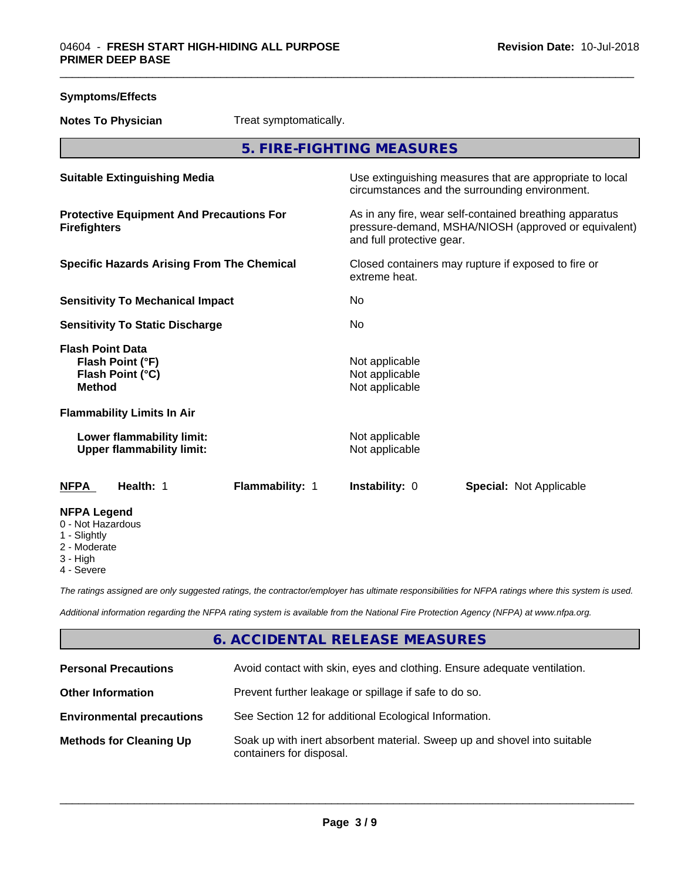| <b>Symptoms/Effects</b>                                                          |                                                               |                                                   |                                                    |                                                                                                                 |
|----------------------------------------------------------------------------------|---------------------------------------------------------------|---------------------------------------------------|----------------------------------------------------|-----------------------------------------------------------------------------------------------------------------|
| <b>Notes To Physician</b>                                                        |                                                               | Treat symptomatically.                            |                                                    |                                                                                                                 |
|                                                                                  |                                                               |                                                   | 5. FIRE-FIGHTING MEASURES                          |                                                                                                                 |
|                                                                                  | <b>Suitable Extinguishing Media</b>                           |                                                   |                                                    | Use extinguishing measures that are appropriate to local<br>circumstances and the surrounding environment.      |
| <b>Firefighters</b>                                                              |                                                               | <b>Protective Equipment And Precautions For</b>   | and full protective gear.                          | As in any fire, wear self-contained breathing apparatus<br>pressure-demand, MSHA/NIOSH (approved or equivalent) |
|                                                                                  |                                                               | <b>Specific Hazards Arising From The Chemical</b> | extreme heat.                                      | Closed containers may rupture if exposed to fire or                                                             |
|                                                                                  | <b>Sensitivity To Mechanical Impact</b>                       |                                                   | No                                                 |                                                                                                                 |
|                                                                                  | <b>Sensitivity To Static Discharge</b>                        |                                                   | No                                                 |                                                                                                                 |
| <b>Flash Point Data</b><br>Flash Point (°F)<br>Flash Point (°C)<br><b>Method</b> |                                                               |                                                   | Not applicable<br>Not applicable<br>Not applicable |                                                                                                                 |
|                                                                                  | <b>Flammability Limits In Air</b>                             |                                                   |                                                    |                                                                                                                 |
|                                                                                  | Lower flammability limit:<br><b>Upper flammability limit:</b> |                                                   | Not applicable<br>Not applicable                   |                                                                                                                 |
| <b>NFPA</b>                                                                      | Health: 1                                                     | Flammability: 1                                   | Instability: 0                                     | <b>Special: Not Applicable</b>                                                                                  |
| <b>NFPA Legend</b><br>0 - Not Hazardous<br>1 - Slightly<br>2 - Moderate          |                                                               |                                                   |                                                    |                                                                                                                 |

- 3 High
- 4 Severe

*The ratings assigned are only suggested ratings, the contractor/employer has ultimate responsibilities for NFPA ratings where this system is used.*

*Additional information regarding the NFPA rating system is available from the National Fire Protection Agency (NFPA) at www.nfpa.org.*

# **6. ACCIDENTAL RELEASE MEASURES**

| <b>Personal Precautions</b>      | Avoid contact with skin, eyes and clothing. Ensure adequate ventilation.                             |
|----------------------------------|------------------------------------------------------------------------------------------------------|
| <b>Other Information</b>         | Prevent further leakage or spillage if safe to do so.                                                |
| <b>Environmental precautions</b> | See Section 12 for additional Ecological Information.                                                |
| <b>Methods for Cleaning Up</b>   | Soak up with inert absorbent material. Sweep up and shovel into suitable<br>containers for disposal. |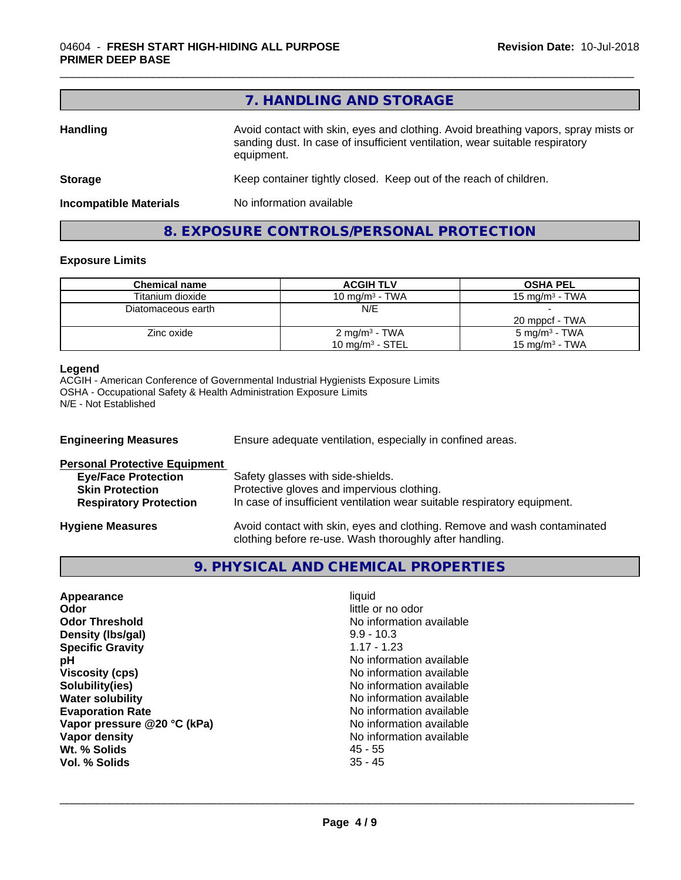|                                                           | 7. HANDLING AND STORAGE                                                                                                                                                          |
|-----------------------------------------------------------|----------------------------------------------------------------------------------------------------------------------------------------------------------------------------------|
| <b>Handling</b>                                           | Avoid contact with skin, eyes and clothing. Avoid breathing vapors, spray mists or<br>sanding dust. In case of insufficient ventilation, wear suitable respiratory<br>equipment. |
| <b>Storage</b>                                            | Keep container tightly closed. Keep out of the reach of children.                                                                                                                |
| <b>Incompatible Materials</b><br>No information available |                                                                                                                                                                                  |
|                                                           | 8. EXPOSURE CONTROLS/PERSONAL PROTECTION                                                                                                                                         |

#### **Exposure Limits**

| <b>Chemical name</b> | <b>ACGIH TLV</b>         | <b>OSHA PEL</b>            |
|----------------------|--------------------------|----------------------------|
| Titanium dioxide     | 10 mg/m $3$ - TWA        | 15 mg/m $3$ - TWA          |
| Diatomaceous earth   | N/E                      |                            |
|                      |                          | 20 mppcf - TWA             |
| Zinc oxide           | $2 \text{ mg/m}^3$ - TWA | 5 mg/m <sup>3</sup> - TWA  |
|                      | 10 mg/m $3$ - STEL       | 15 mg/m <sup>3</sup> - TWA |

#### **Legend**

ACGIH - American Conference of Governmental Industrial Hygienists Exposure Limits OSHA - Occupational Safety & Health Administration Exposure Limits N/E - Not Established

| <b>Engineering Measures</b>          | Ensure adequate ventilation, especially in confined areas.                                                                          |  |  |
|--------------------------------------|-------------------------------------------------------------------------------------------------------------------------------------|--|--|
| <b>Personal Protective Equipment</b> |                                                                                                                                     |  |  |
| <b>Eye/Face Protection</b>           | Safety glasses with side-shields.                                                                                                   |  |  |
| <b>Skin Protection</b>               | Protective gloves and impervious clothing.                                                                                          |  |  |
| <b>Respiratory Protection</b>        | In case of insufficient ventilation wear suitable respiratory equipment.                                                            |  |  |
| <b>Hygiene Measures</b>              | Avoid contact with skin, eyes and clothing. Remove and wash contaminated<br>clothing before re-use. Wash thoroughly after handling. |  |  |

# **9. PHYSICAL AND CHEMICAL PROPERTIES**

| Appearance                  | liquid                   |
|-----------------------------|--------------------------|
| Odor                        | little or no odor        |
| <b>Odor Threshold</b>       | No information available |
| Density (Ibs/gal)           | $9.9 - 10.3$             |
| <b>Specific Gravity</b>     | $1.17 - 1.23$            |
| рH                          | No information available |
| <b>Viscosity (cps)</b>      | No information available |
| Solubility(ies)             | No information available |
| <b>Water solubility</b>     | No information available |
| <b>Evaporation Rate</b>     | No information available |
| Vapor pressure @20 °C (kPa) | No information available |
| Vapor density               | No information available |
| Wt. % Solids                | $45 - 55$                |
| Vol. % Solids               | $35 - 45$                |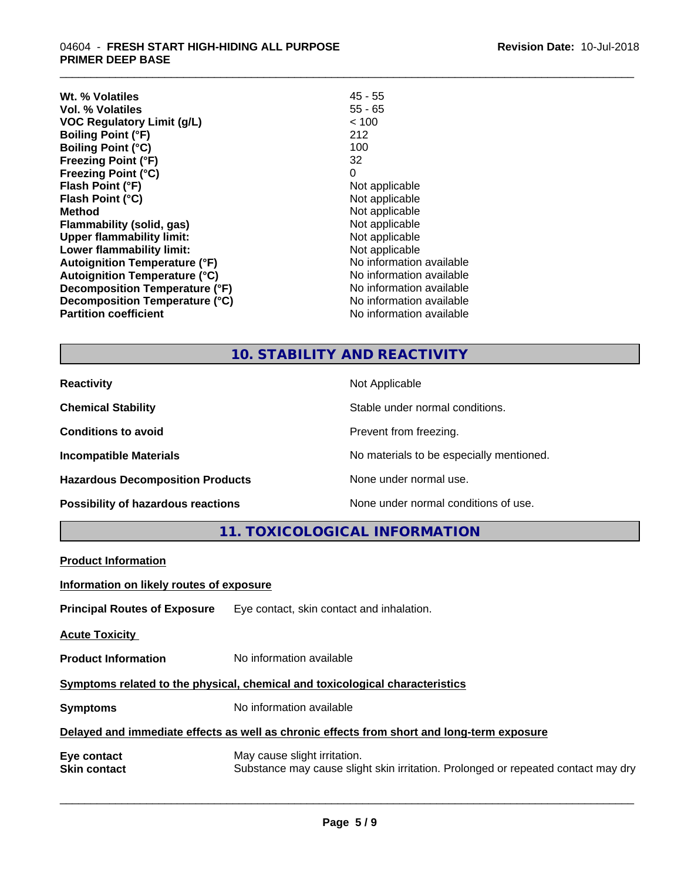| Wt. % Volatiles                      | $45 - 55$                |
|--------------------------------------|--------------------------|
| <b>Vol. % Volatiles</b>              | $55 - 65$                |
| VOC Regulatory Limit (g/L)           | < 100                    |
| <b>Boiling Point (°F)</b>            | 212                      |
| <b>Boiling Point (°C)</b>            | 100                      |
| <b>Freezing Point (°F)</b>           | 32                       |
| <b>Freezing Point (°C)</b>           | 0                        |
| Flash Point (°F)                     | Not applicable           |
| Flash Point (°C)                     | Not applicable           |
| <b>Method</b>                        | Not applicable           |
| <b>Flammability (solid, gas)</b>     | Not applicable           |
| <b>Upper flammability limit:</b>     | Not applicable           |
| Lower flammability limit:            | Not applicable           |
| <b>Autoignition Temperature (°F)</b> | No information available |
| <b>Autoignition Temperature (°C)</b> | No information available |
| Decomposition Temperature (°F)       | No information available |
| Decomposition Temperature (°C)       | No information available |
| <b>Partition coefficient</b>         | No information available |

# **10. STABILITY AND REACTIVITY**

\_\_\_\_\_\_\_\_\_\_\_\_\_\_\_\_\_\_\_\_\_\_\_\_\_\_\_\_\_\_\_\_\_\_\_\_\_\_\_\_\_\_\_\_\_\_\_\_\_\_\_\_\_\_\_\_\_\_\_\_\_\_\_\_\_\_\_\_\_\_\_\_\_\_\_\_\_\_\_\_\_\_\_\_\_\_\_\_\_\_\_\_\_

| <b>Reactivity</b>                       | Not Applicable                           |
|-----------------------------------------|------------------------------------------|
| <b>Chemical Stability</b>               | Stable under normal conditions.          |
| <b>Conditions to avoid</b>              | Prevent from freezing.                   |
| <b>Incompatible Materials</b>           | No materials to be especially mentioned. |
| <b>Hazardous Decomposition Products</b> | None under normal use.                   |
| Possibility of hazardous reactions      | None under normal conditions of use.     |

**11. TOXICOLOGICAL INFORMATION**

| <b>Product Information</b>                                                                 |                                                                                                                   |  |  |
|--------------------------------------------------------------------------------------------|-------------------------------------------------------------------------------------------------------------------|--|--|
| Information on likely routes of exposure                                                   |                                                                                                                   |  |  |
| <b>Principal Routes of Exposure</b>                                                        | Eye contact, skin contact and inhalation.                                                                         |  |  |
| <b>Acute Toxicity</b>                                                                      |                                                                                                                   |  |  |
| <b>Product Information</b>                                                                 | No information available                                                                                          |  |  |
| Symptoms related to the physical, chemical and toxicological characteristics               |                                                                                                                   |  |  |
| <b>Symptoms</b>                                                                            | No information available                                                                                          |  |  |
| Delayed and immediate effects as well as chronic effects from short and long-term exposure |                                                                                                                   |  |  |
| Eye contact<br><b>Skin contact</b>                                                         | May cause slight irritation.<br>Substance may cause slight skin irritation. Prolonged or repeated contact may dry |  |  |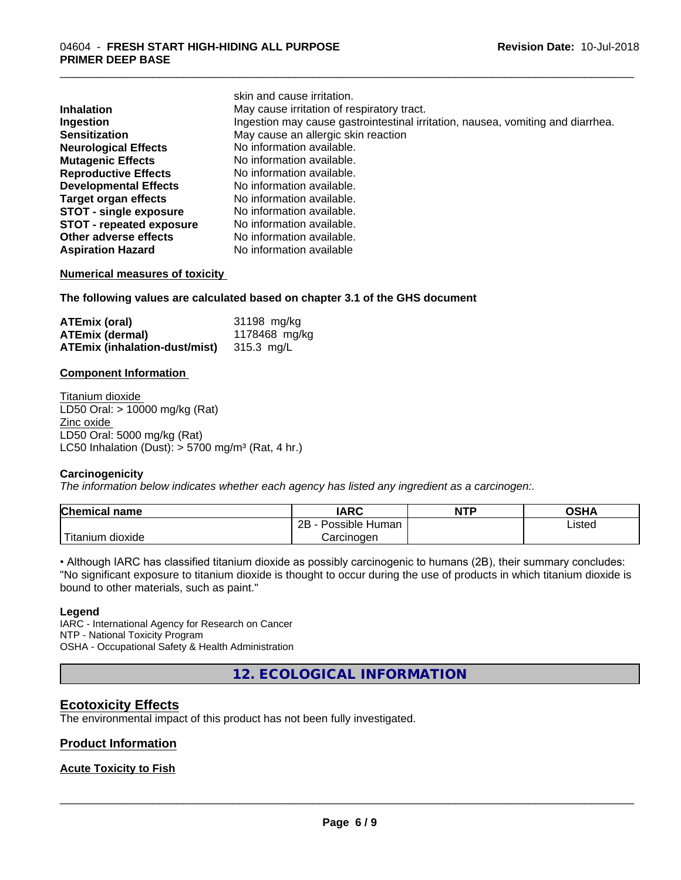|                                 | skin and cause irritation.                                                      |
|---------------------------------|---------------------------------------------------------------------------------|
| <b>Inhalation</b>               | May cause irritation of respiratory tract.                                      |
| Ingestion                       | Ingestion may cause gastrointestinal irritation, nausea, vomiting and diarrhea. |
| <b>Sensitization</b>            | May cause an allergic skin reaction                                             |
| <b>Neurological Effects</b>     | No information available.                                                       |
| <b>Mutagenic Effects</b>        | No information available.                                                       |
| <b>Reproductive Effects</b>     | No information available.                                                       |
| <b>Developmental Effects</b>    | No information available.                                                       |
| <b>Target organ effects</b>     | No information available.                                                       |
| <b>STOT - single exposure</b>   | No information available.                                                       |
| <b>STOT - repeated exposure</b> | No information available.                                                       |
| Other adverse effects           | No information available.                                                       |
| <b>Aspiration Hazard</b>        | No information available                                                        |

\_\_\_\_\_\_\_\_\_\_\_\_\_\_\_\_\_\_\_\_\_\_\_\_\_\_\_\_\_\_\_\_\_\_\_\_\_\_\_\_\_\_\_\_\_\_\_\_\_\_\_\_\_\_\_\_\_\_\_\_\_\_\_\_\_\_\_\_\_\_\_\_\_\_\_\_\_\_\_\_\_\_\_\_\_\_\_\_\_\_\_\_\_

#### **Numerical measures of toxicity**

**The following values are calculated based on chapter 3.1 of the GHS document**

| ATEmix (oral)                 | 31198 mg/kg   |
|-------------------------------|---------------|
| <b>ATEmix (dermal)</b>        | 1178468 mg/kg |
| ATEmix (inhalation-dust/mist) | 315.3 mg/L    |

#### **Component Information**

Titanium dioxide LD50 Oral: > 10000 mg/kg (Rat) Zinc oxide LD50 Oral: 5000 mg/kg (Rat) LC50 Inhalation (Dust):  $> 5700$  mg/m<sup>3</sup> (Rat, 4 hr.)

#### **Carcinogenicity**

*The information below indicateswhether each agency has listed any ingredient as a carcinogen:.*

| <b>Chemical name</b>       | <b>IARC</b>          | <b>NTP</b> | OSHA   |
|----------------------------|----------------------|------------|--------|
|                            | Possible Human<br>2B |            | Listed |
| ' Titanium 、<br>.n dioxide | Carcinoɑen           |            |        |

• Although IARC has classified titanium dioxide as possibly carcinogenic to humans (2B), their summary concludes: "No significant exposure to titanium dioxide is thought to occur during the use of products in which titanium dioxide is bound to other materials, such as paint."

#### **Legend**

IARC - International Agency for Research on Cancer NTP - National Toxicity Program OSHA - Occupational Safety & Health Administration

**12. ECOLOGICAL INFORMATION**

#### **Ecotoxicity Effects**

The environmental impact of this product has not been fully investigated.

#### **Product Information**

#### **Acute Toxicity to Fish**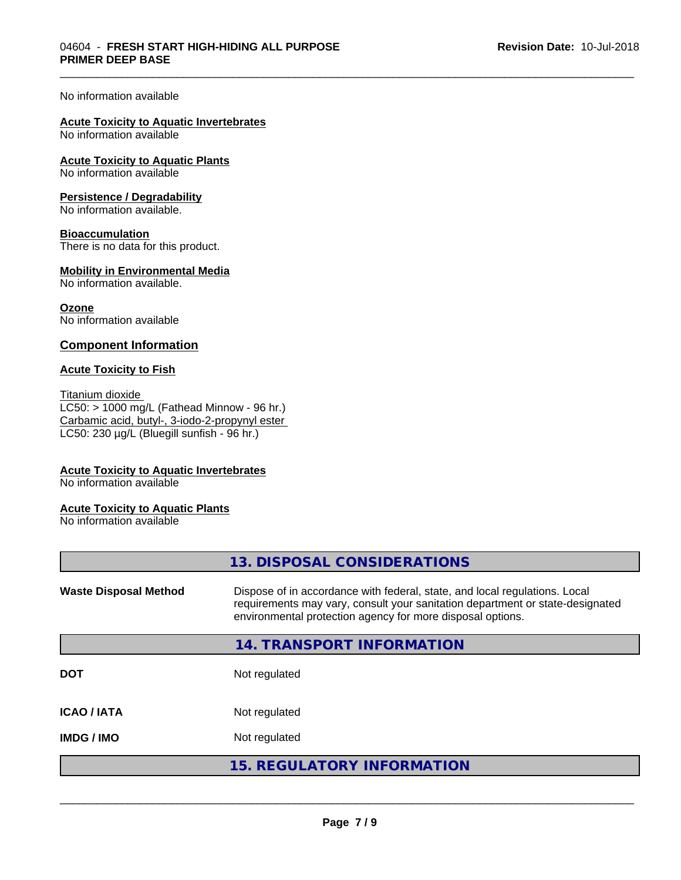\_\_\_\_\_\_\_\_\_\_\_\_\_\_\_\_\_\_\_\_\_\_\_\_\_\_\_\_\_\_\_\_\_\_\_\_\_\_\_\_\_\_\_\_\_\_\_\_\_\_\_\_\_\_\_\_\_\_\_\_\_\_\_\_\_\_\_\_\_\_\_\_\_\_\_\_\_\_\_\_\_\_\_\_\_\_\_\_\_\_\_\_\_

#### No information available

#### **Acute Toxicity to Aquatic Invertebrates**

No information available

#### **Acute Toxicity to Aquatic Plants**

No information available

#### **Persistence / Degradability**

No information available.

#### **Bioaccumulation**

There is no data for this product.

#### **Mobility in Environmental Media**

No information available.

### **Ozone**

No information available

#### **Component Information**

#### **Acute Toxicity to Fish**

#### Titanium dioxide  $LC50:$  > 1000 mg/L (Fathead Minnow - 96 hr.) Carbamic acid, butyl-, 3-iodo-2-propynyl ester LC50: 230 µg/L (Bluegill sunfish - 96 hr.)

### **Acute Toxicity to Aquatic Invertebrates**

No information available

#### **Acute Toxicity to Aquatic Plants**

No information available

|                              | 13. DISPOSAL CONSIDERATIONS                                                                                                                                                                                               |
|------------------------------|---------------------------------------------------------------------------------------------------------------------------------------------------------------------------------------------------------------------------|
| <b>Waste Disposal Method</b> | Dispose of in accordance with federal, state, and local regulations. Local<br>requirements may vary, consult your sanitation department or state-designated<br>environmental protection agency for more disposal options. |
|                              | 14. TRANSPORT INFORMATION                                                                                                                                                                                                 |
| <b>DOT</b>                   | Not regulated                                                                                                                                                                                                             |
| <b>ICAO/IATA</b>             | Not regulated                                                                                                                                                                                                             |
| <b>IMDG/IMO</b>              | Not regulated                                                                                                                                                                                                             |
|                              | <b>15. REGULATORY INFORMATION</b>                                                                                                                                                                                         |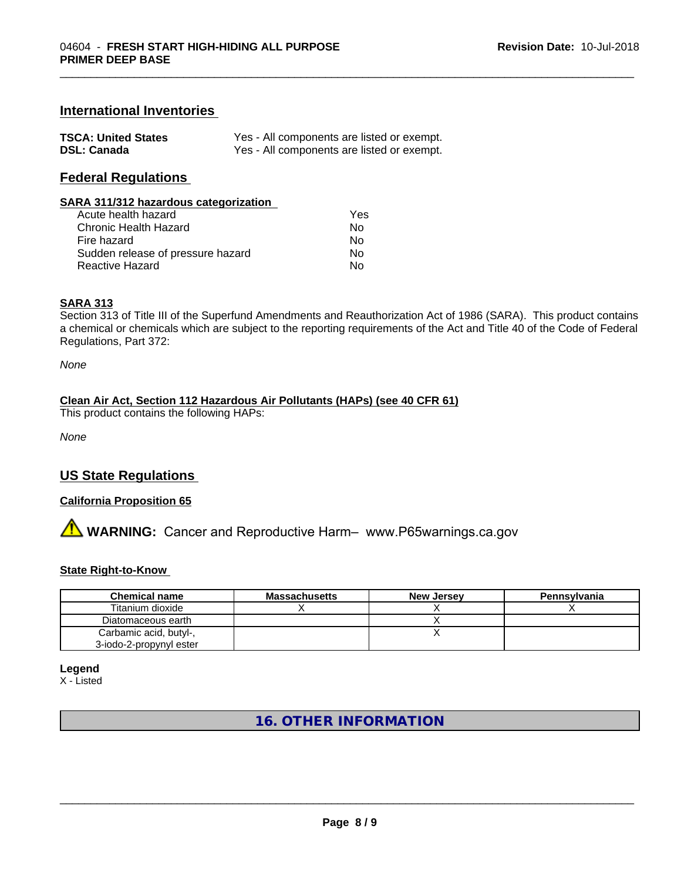# **International Inventories**

| <b>TSCA: United States</b> | Yes - All components are listed or exempt. |
|----------------------------|--------------------------------------------|
| <b>DSL: Canada</b>         | Yes - All components are listed or exempt. |

### **Federal Regulations**

#### **SARA 311/312 hazardous categorization**

| Acute health hazard               | Yes |
|-----------------------------------|-----|
| Chronic Health Hazard             | Nο  |
| Fire hazard                       | Nο  |
| Sudden release of pressure hazard | Nο  |
| Reactive Hazard                   | N٥  |

#### **SARA 313**

Section 313 of Title III of the Superfund Amendments and Reauthorization Act of 1986 (SARA). This product contains a chemical or chemicals which are subject to the reporting requirements of the Act and Title 40 of the Code of Federal Regulations, Part 372:

\_\_\_\_\_\_\_\_\_\_\_\_\_\_\_\_\_\_\_\_\_\_\_\_\_\_\_\_\_\_\_\_\_\_\_\_\_\_\_\_\_\_\_\_\_\_\_\_\_\_\_\_\_\_\_\_\_\_\_\_\_\_\_\_\_\_\_\_\_\_\_\_\_\_\_\_\_\_\_\_\_\_\_\_\_\_\_\_\_\_\_\_\_

*None*

#### **Clean Air Act,Section 112 Hazardous Air Pollutants (HAPs) (see 40 CFR 61)**

This product contains the following HAPs:

*None*

#### **US State Regulations**

#### **California Proposition 65**

**AVIMARNING:** Cancer and Reproductive Harm– www.P65warnings.ca.gov

#### **State Right-to-Know**

| <b>Chemical name</b>    | <b>Massachusetts</b> | <b>New Jersey</b> | Pennsylvania |
|-------------------------|----------------------|-------------------|--------------|
| Titanium dioxide        |                      |                   |              |
| Diatomaceous earth      |                      |                   |              |
| Carbamic acid, butyl-,  |                      |                   |              |
| 3-iodo-2-propynyl ester |                      |                   |              |

**Legend**

X - Listed

**16. OTHER INFORMATION**